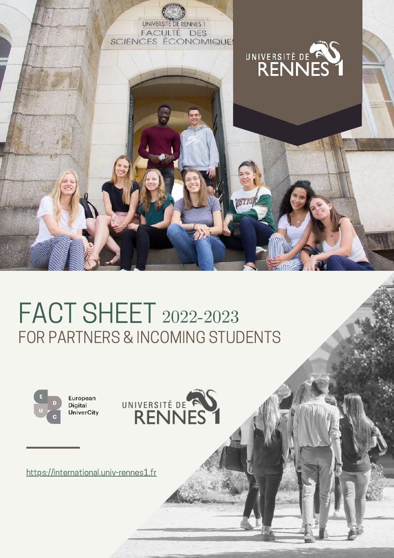

# FACT SHEET 2022-2023FOR PARTNERS & INCOMING STUDENTS





[https://international.univ-rennes1.fr](https://international.univ-rennes1.fr/)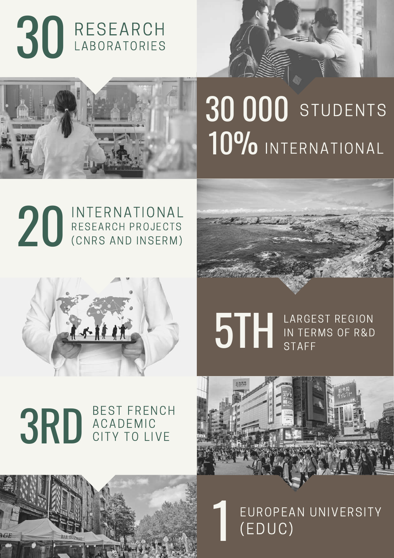



# 30 000 STUDENTS 10% INTERNATIONAL









STAFF LARGEST REGION IN TERMS OF R&D STAFF

#### 3RD BEST FRENCH **ACADEMIC** CITY TO LIVE



1 (EDUC) EUROPEAN UNIVERSITY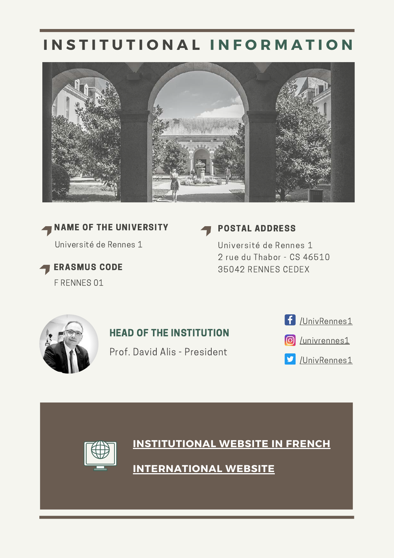# **I N S T I T U T I O N A L I N F O R M A T I O N**





ERASMUS CODE F RENNES 01

### POSTAL ADDRESS

Université de Rennes 1 2 rue du Thabor - CS 46510 35042 RENNES CEDEX



## HEAD OF THE INSTITUTION

Prof. David Alis - President



**O** [/univrennes1](https://www.instagram.com/univrennes1/)

[/UnivRennes1](https://twitter.com/UnivRennes1)y



**[INSTITUTIONAL](https://www.univ-rennes1.fr/) WEBSITE IN FRENCH**

**[INTERNATIONAL](https://international.univ-rennes1.fr/en) [WEBSITE](https://international.univ-rennes1.fr/en)**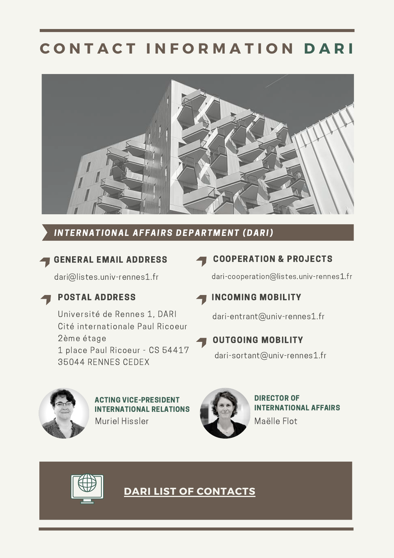# **C O N T A C T I N F O R M A T I O N D A R I**



#### INTERNATIONAL AFFAIRS DEPARTMENT (DARI)

# GENERAL EMAIL ADDRESS

dari@listes.univ-rennes1.fr



## POSTAL ADDRESS

Université de Rennes 1, DARI Cité internationale Paul Ricoeur 2ème étage 1 place Paul Ricoeur - CS 54417 35044 RENNES CEDEX

### COOPERATION & PROJECTS

dari-cooperation@listes.univ-rennes1.fr

### INCOMING MOBILITY

dari-entrant@univ-rennes1.fr

# OUTGOING MOBILITY

dari-sortant@univ-rennes1.fr



Muriel Hissler ACTING VICE-PRESIDENT INTERNATIONAL RELATIONS



DIRECTOR OF INTERNATIONAL AFFAIRS Maëlle Flot



**DARI LIST OF [CONTACTS](https://international.univ-rennes1.fr/en/people-0)**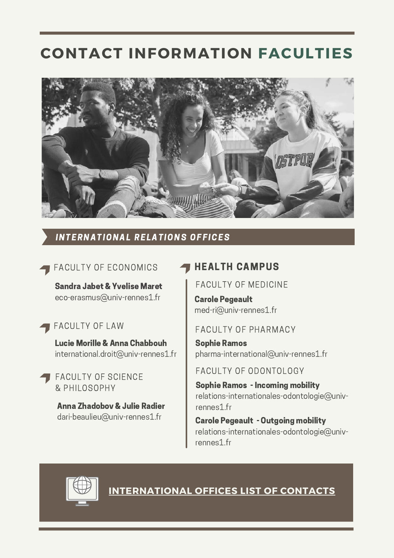# **CONTACT INFORMATION FACULTIES**



#### INTERNATIONAL RELATIONS OFFICES

#### FACULTY OF ECONOMICS

eco-erasmus@univ-rennes1.fr

#### FACULTY OF LAW

Lucie Morille & Anna Chabbouh international.droit@univ-rennes1.fr

FACULTY OF SCIENCE & PHILOSOPHY

Anna Zhadobov & Julie Radier dari-beaulieu@univ-rennes1.fr

#### HEALTH CAMPUS

Sandra Jabet & Yvelise Maret FACULTY OF MEDICINE

Carole Pegeault med-ri@univ-rennes1.fr

#### FACULTY OF PHARMACY

Sophie Ramos pharma-international@univ-rennes1.fr

FACULTY OF ODONTOLOGY

Sophie Ramos - Incoming mobility relations-internationales-odontologie@univrennes1.fr

Carole Pegeault - Outgoing mobility relations-internationales-odontologie@univrennes1.fr



**[INTERNATIONAL](https://international.univ-rennes1.fr/en/international-relations-offices) OFFICES LIST OF CONTACTS**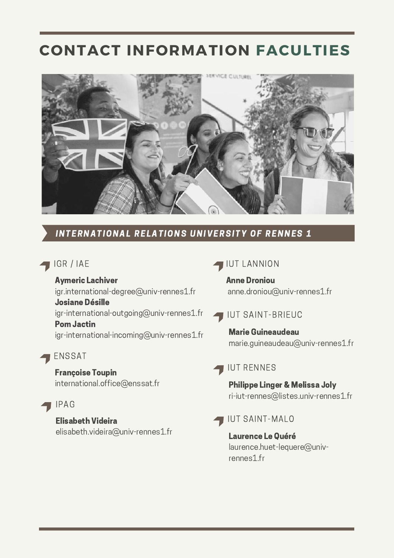# **CONTACT INFORMATION FACULTIES**



#### INTERNATIONAL RELATIONS UNIVERSITY OF RENNES 1

#### IGR / IAE

Aymeric Lachiver igr.international-degree@univ-rennes1.fr Josiane Désille igr-international-outgoing@univ-rennes1.fr Pom Jactin igr-international-incoming@univ-rennes1.fr

#### ENSSAT

Françoise Toupin international.office@enssat.fr

### IPAG

#### Elisabeth Videira

elisabeth.videira@univ-rennes1.fr

#### **IUT LANNION**

Anne Droniou anne.droniou@univ-rennes1.fr

### **IUT SAINT-BRIEUC**

Marie Guineaudeau marie.guineaudeau@univ-rennes1.fr

#### IUT RENNES

Philippe Linger & Melissa Joly ri-iut-rennes@listes.univ-rennes1.fr

#### IUT SAINT-MALO

Laurence Le Quéré laurence.huet-lequere@univrennes1.fr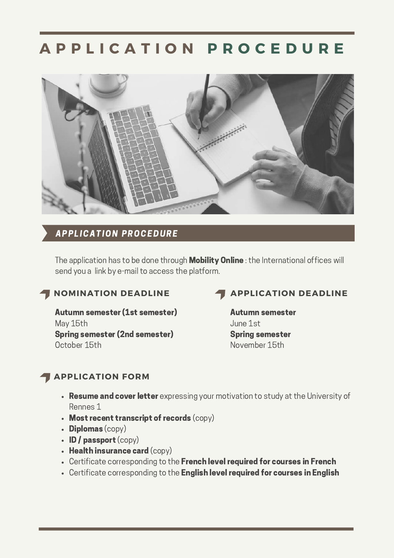# **A P P L I C A T I O N P R O C E D U R E**



#### **APPLICATION PROCEDURE**

The application has to be done through **Mobility Online**: the International offices will send you a link by e-mail to access the platform.

#### **NOMINATION DEADLINE**

Autumn semester (1st semester) May 15th Spring semester (2nd semester) October 15th

### **APPLICATION DEADLINE**

Autumn semester June 1st Spring semester November 15th

### **APPLICATION FORM**

- Resume and cover letter expressing your motivation to study at the University of Rennes 1
- Most recent transcript of records (CODY)
- $\cdot$  Diplomas (copy)
- $\cdot$  ID / passport (copy)
- $\cdot$  Health insurance card (copy)
- Certificate corresponding to the French level required for courses in French
- Certificate corresponding to the English level required for courses in English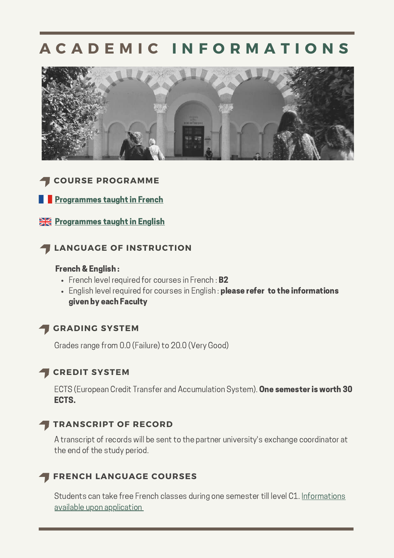# **A C A D E M I C I N F O R M A T I O N S**



#### **COURSE PROGRAMME**

**[Programmes](https://international.univ-rennes1.fr/en/programmes-taught-french) taught in French** 

**[Programmes](https://international.univ-rennes1.fr/en/programmes-taught-english) taught in English** 

#### **LANGUAGE OF INSTRUCTION**

#### French & English :

- French level required for courses in French: **B2**
- English level required for courses in English : please refer to the informations given by each Faculty

# **GRADING SYSTEM**

Grades range from 0.0 (Failure) to 20.0 (Very Good)

#### **CREDIT SYSTEM**

ECTS (European Credit Transfer and Accumulation System). One semester is worth 30 ECTS.

#### **TRANSCRIPT OF RECORD**

A transcript of records will be sent to the partner university's exchange coordinator at the end of the study period.

#### **FRENCH LANGUAGE COURSES**

Students can take free French classes during one semester till level C1. Informations available upon [application](https://international.univ-rennes1.fr/en/learning-french)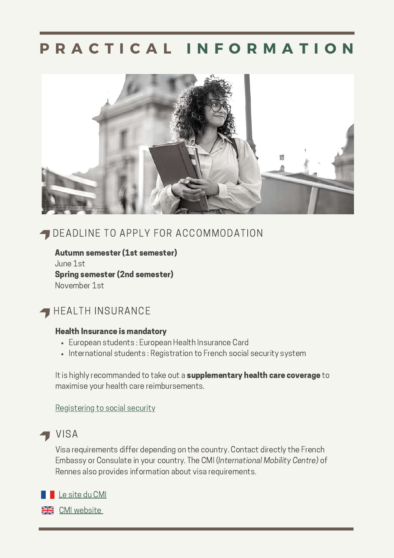# **P R A C T I C A L I N F O R M A T I O N**



# DEADLINE TO APPLY FOR ACCOMMODATION

Autumn semester (1st semester) June 1st Spring semester (2nd semester) November 1st

# **HEALTH INSURANCE**

#### Health Insurance is mandatory

- European students : European Health Insurance Card
- International students: Registration to French social security system

It is highly recommanded to take out a supplementary health care coverage to maximise your health care reimbursements.

[Registering](https://www.campusfrance.org/en/registering-to-social-security) to social security



Visa requirements differ depending on the country. Contact directly the French Embassy or Consulate in your country. The CMI (International Mobility Centre) of Rennes also provides information about visa requirements.

Le [site](https://cmi.univ-rennes.fr/) du CMI

**EXAM** CMI [website](https://cmi.univ-rennes.fr/en)